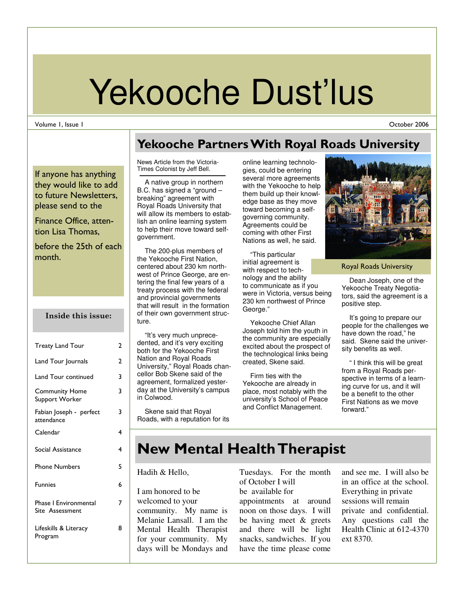# Yekooche Dust'lus

#### Volume 1, Issue 1

October 2006

If anyone has anything they would like to add to future Newsletters, please send to the

Finance Office, attention Lisa Thomas,

before the 25th of each month.

#### Inside this issue:

| <b>Treaty Land Tour</b>                         | 2 |
|-------------------------------------------------|---|
| Land Tour Journals                              | 2 |
| Land Tour continued                             | 3 |
| <b>Community Home</b><br>Support Worker         | 3 |
| Fabian Joseph - perfect<br>attendance           | 3 |
| Calendar                                        | 4 |
| Social Assistance                               | 4 |
| <b>Phone Numbers</b>                            | 5 |
| <b>Funnies</b>                                  | 6 |
| <b>Phase I Environmental</b><br>Site Assessment | 7 |
| Lifeskills & Literacy<br>Program                | 8 |

### Yekooche Partners With Royal Roads University

News Article from the Victoria-Times Colonist by Jeff Bell.

 A native group in northern B.C. has signed a "ground – breaking" agreement with Royal Roads University that will allow its members to establish an online learning system to help their move toward selfgovernment.

 The 200-plus members of the Yekooche First Nation, centered about 230 km northwest of Prince George, are entering the final few years of a treaty process with the federal and provincial governments that will result in the formation of their own government structure.

 "It's very much unprecedented, and it's very exciting both for the Yekooche First Nation and Royal Roads University," Royal Roads chancellor Bob Skene said of the agreement, formalized yesterday at the University's campus in Colwood.

 Skene said that Royal Roads, with a reputation for its

online learning technologies, could be entering several more agreements with the Yekooche to help them build up their knowledge base as they move toward becoming a selfgoverning community. Agreements could be coming with other First Nations as well, he said.

 "This particular initial agreement is with respect to technology and the ability to communicate as if you were in Victoria, versus being 230 km northwest of Prince George."

 Yekooche Chief Allan Joseph told him the youth in the community are especially excited about the prospect of the technological links being created, Skene said.

 Firm ties with the Yekooche are already in place, most notably with the university's School of Peace and Conflict Management.



Royal Roads University

 Dean Joseph, one of the Yekooche Treaty Negotiators, said the agreement is a positive step.

 It's going to prepare our people for the challenges we have down the road," he said. Skene said the university benefits as well.

 " I think this will be great from a Royal Roads perspective in terms of a learning curve for us, and it will be a benefit to the other First Nations as we move forward."

# New Mental Health Therapist

#### Hadih & Hello,

I am honored to be welcomed to your community. My name is Melanie Lansall. I am the Mental Health Therapist for your community. My days will be Mondays and Tuesdays. For the month of October I will be available for appointments at around noon on those days. I will be having meet & greets and there will be light snacks, sandwiches. If you have the time please come

and see me. I will also be in an office at the school. Everything in private sessions will remain private and confidential. Any questions call the Health Clinic at 612-4370 ext 8370.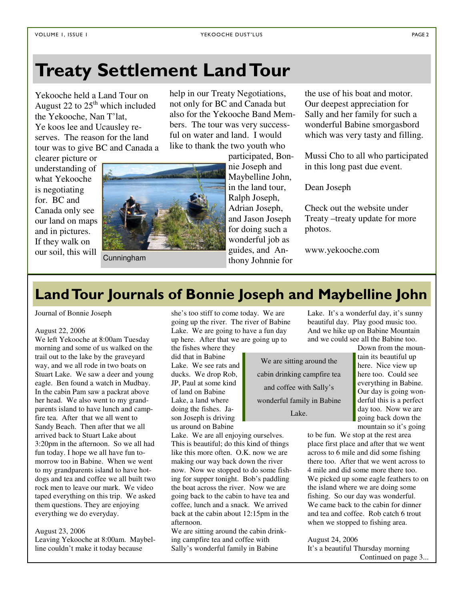# Treaty Settlement Land Tour

Yekooche held a Land Tour on August 22 to  $25<sup>th</sup>$  which included the Yekooche, Nan T'lat, Ye koos lee and Ucausley reserves. The reason for the land tour was to give BC and Canada a help in our Treaty Negotiations, not only for BC and Canada but also for the Yekooche Band Members. The tour was very successful on water and land. I would like to thank the two youth who

clearer picture or understanding of what Yekooche is negotiating for. BC and Canada only see our land on maps and in pictures. If they walk on our soil, this will



Cunningham

participated, Bonnie Joseph and Maybelline John, in the land tour, Ralph Joseph, Adrian Joseph, and Jason Joseph for doing such a wonderful job as guides, and Anthony Johnnie for

the use of his boat and motor. Our deepest appreciation for Sally and her family for such a wonderful Babine smorgasbord which was very tasty and filling.

Mussi Cho to all who participated in this long past due event.

Dean Joseph

Check out the website under Treaty –treaty update for more photos.

www.yekooche.com

# Land Tour Journals of Bonnie Joseph and Maybelline John

Journal of Bonnie Joseph

#### August 22, 2006

We left Yekooche at 8:00am Tuesday morning and some of us walked on the trail out to the lake by the graveyard way, and we all rode in two boats on Stuart Lake. We saw a deer and young eagle. Ben found a watch in Mudbay. In the cabin Pam saw a packrat above her head. We also went to my grandparents island to have lunch and campfire tea. After that we all went to Sandy Beach. Then after that we all arrived back to Stuart Lake about 3:20pm in the afternoon. So we all had fun today. I hope we all have fun tomorrow too in Babine. When we went to my grandparents island to have hotdogs and tea and coffee we all built two rock men to leave our mark. We video taped everything on this trip. We asked them questions. They are enjoying everything we do everyday.

#### August 23, 2006

Leaving Yekooche at 8:00am. Maybelline couldn't make it today because

she's too stiff to come today. We are going up the river. The river of Babine Lake. We are going to have a fun day up here. After that we are going up to the fishes where they

did that in Babine Lake. We see rats and ducks. We drop Rob, JP, Paul at some kind of land on Babine Lake, a land where doing the fishes. Jason Joseph is driving us around on Babine

Lake. We are all enjoying ourselves. This is beautiful; do this kind of things like this more often. O.K. now we are making our way back down the river now. Now we stopped to do some fishing for supper tonight. Bob's paddling the boat across the river. Now we are going back to the cabin to have tea and coffee, lunch and a snack. We arrived back at the cabin about 12:15pm in the afternoon.

We are sitting around the cabin drinking campfire tea and coffee with Sally's wonderful family in Babine

Lake. It's a wonderful day, it's sunny beautiful day. Play good music too. And we hike up on Babine Mountain and we could see all the Babine too.

We are sitting around the cabin drinking campfire tea and coffee with Sally's wonderful family in Babine Lake.

Down from the mountain its beautiful up here. Nice view up here too. Could see everything in Babine. Our day is going wonderful this is a perfect day too. Now we are going back down the mountain so it's going

to be fun. We stop at the rest area place first place and after that we went across to 6 mile and did some fishing there too. After that we went across to 4 mile and did some more there too. We picked up some eagle feathers to on the island where we are doing some fishing. So our day was wonderful. We came back to the cabin for dinner and tea and coffee. Rob catch 6 trout when we stopped to fishing area.

August 24, 2006 It's a beautiful Thursday morning Continued on page 3...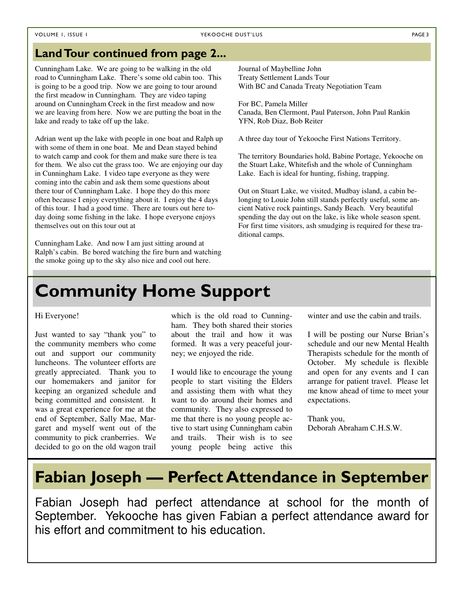#### VOLUME 1, ISSUE I PAGE 3

#### Land Tour continued from page 2...

Cunningham Lake. We are going to be walking in the old road to Cunningham Lake. There's some old cabin too. This is going to be a good trip. Now we are going to tour around the first meadow in Cunningham. They are video taping around on Cunningham Creek in the first meadow and now we are leaving from here. Now we are putting the boat in the lake and ready to take off up the lake.

Adrian went up the lake with people in one boat and Ralph up with some of them in one boat. Me and Dean stayed behind to watch camp and cook for them and make sure there is tea for them. We also cut the grass too. We are enjoying our day in Cunningham Lake. I video tape everyone as they were coming into the cabin and ask them some questions about there tour of Cunningham Lake. I hope they do this more often because I enjoy everything about it. I enjoy the 4 days of this tour. I had a good time. There are tours out here today doing some fishing in the lake. I hope everyone enjoys themselves out on this tour out at

Cunningham Lake. And now I am just sitting around at Ralph's cabin. Be bored watching the fire burn and watching the smoke going up to the sky also nice and cool out here.

Journal of Maybelline John Treaty Settlement Lands Tour With BC and Canada Treaty Negotiation Team

For BC, Pamela Miller Canada, Ben Clermont, Paul Paterson, John Paul Rankin YFN, Rob Diaz, Bob Reiter

A three day tour of Yekooche First Nations Territory.

The territory Boundaries hold, Babine Portage, Yekooche on the Stuart Lake, Whitefish and the whole of Cunningham Lake. Each is ideal for hunting, fishing, trapping.

Out on Stuart Lake, we visited, Mudbay island, a cabin belonging to Louie John still stands perfectly useful, some ancient Native rock paintings, Sandy Beach. Very beautiful spending the day out on the lake, is like whole season spent. For first time visitors, ash smudging is required for these traditional camps.

# Community Home Support

#### Hi Everyone!

Just wanted to say "thank you" to the community members who come out and support our community luncheons. The volunteer efforts are greatly appreciated. Thank you to our homemakers and janitor for keeping an organized schedule and being committed and consistent. It was a great experience for me at the end of September, Sally Mae, Margaret and myself went out of the community to pick cranberries. We decided to go on the old wagon trail

which is the old road to Cunningham. They both shared their stories about the trail and how it was formed. It was a very peaceful journey; we enjoyed the ride.

I would like to encourage the young people to start visiting the Elders and assisting them with what they want to do around their homes and community. They also expressed to me that there is no young people active to start using Cunningham cabin and trails. Their wish is to see young people being active this winter and use the cabin and trails.

I will be posting our Nurse Brian's schedule and our new Mental Health Therapists schedule for the month of October. My schedule is flexible and open for any events and I can arrange for patient travel. Please let me know ahead of time to meet your expectations.

Thank you, Deborah Abraham C.H.S.W.

## Fabian Joseph — Perfect Attendance in September

Fabian Joseph had perfect attendance at school for the month of September. Yekooche has given Fabian a perfect attendance award for his effort and commitment to his education.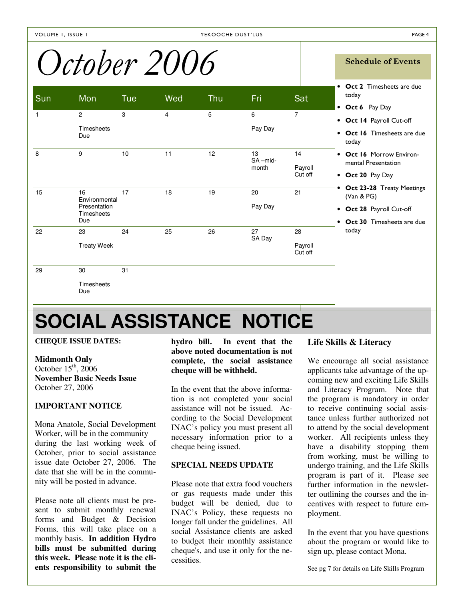# October 2006 Schedule of Events

|              | $\tilde{\phantom{a}}$<br>$\mathbf{\mathcal{C}}$ v $\mathbf{\mathcal{C}}$ |            |     |     |                        |                          |                                                                                                    |
|--------------|--------------------------------------------------------------------------|------------|-----|-----|------------------------|--------------------------|----------------------------------------------------------------------------------------------------|
| Sun          | Mon                                                                      | <b>Tue</b> | Wed | Thu | Fri                    | Sat                      | • Oct 2 Timesheets are due<br>today<br>• Oct 6 Pay Day                                             |
| $\mathbf{1}$ | $\mathbf{2}$<br><b>Timesheets</b><br>Due                                 | 3          | 4   | 5   | 6<br>Pay Day           | $\overline{7}$           | • Oct 14 Payroll Cut-off<br>• Oct 16 Timesheets are due<br>today                                   |
| 8            | 9                                                                        | 10         | 11  | 12  | 13<br>SA-mid-<br>month | 14<br>Payroll<br>Cut off | • Oct 16 Morrow Environ-<br>mental Presentation<br>• Oct 20 Pay Day                                |
| 15           | 16<br>Environmental<br>Presentation<br><b>Timesheets</b><br>Due          | 17         | 18  | 19  | 20<br>Pay Day          | 21                       | Oct 23-28 Treaty Meetings<br>(Van & PG)<br>• Oct 28 Payroll Cut-off<br>• Oct 30 Timesheets are due |
| 22           | 23<br><b>Treaty Week</b>                                                 | 24         | 25  | 26  | 27<br>SA Day           | 28<br>Payroll<br>Cut off | today                                                                                              |
| 29           | 30<br><b>Timesheets</b><br>Due                                           | 31         |     |     |                        |                          |                                                                                                    |

# **SOCIAL ASSISTANCE NOTICE**

#### **CHEQUE ISSUE DATES:**

#### **Midmonth Only**

October  $15<sup>th</sup>$ , 2006 **November Basic Needs Issue**  October 27, 2006

#### **IMPORTANT NOTICE**

Mona Anatole, Social Development Worker, will be in the community during the last working week of October, prior to social assistance issue date October 27, 2006. The date that she will be in the community will be posted in advance.

Please note all clients must be present to submit monthly renewal forms and Budget & Decision Forms, this will take place on a monthly basis. **In addition Hydro bills must be submitted during this week. Please note it is the clients responsibility to submit the** 

**hydro bill. In event that the above noted documentation is not complete, the social assistance cheque will be withheld.** 

In the event that the above information is not completed your social assistance will not be issued. According to the Social Development INAC's policy you must present all necessary information prior to a cheque being issued.

#### **SPECIAL NEEDS UPDATE**

Please note that extra food vouchers or gas requests made under this budget will be denied, due to INAC's Policy, these requests no longer fall under the guidelines. All social Assistance clients are asked to budget their monthly assistance cheque's, and use it only for the necessities.

#### **Life Skills & Literacy**

We encourage all social assistance applicants take advantage of the upcoming new and exciting Life Skills and Literacy Program. Note that the program is mandatory in order to receive continuing social assistance unless further authorized not to attend by the social development worker. All recipients unless they have a disability stopping them from working, must be willing to undergo training, and the Life Skills program is part of it. Please see further information in the newsletter outlining the courses and the incentives with respect to future employment.

In the event that you have questions about the program or would like to sign up, please contact Mona.

See pg 7 for details on Life Skills Program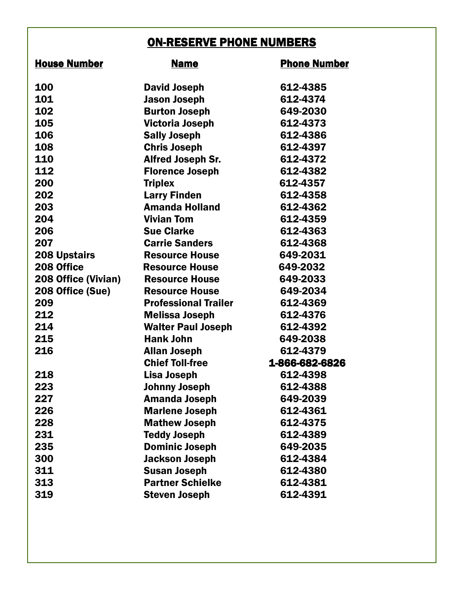### ON-RESERVE PHONE NUMBERS

| <b>House Number</b> | <b>Name</b>                 | <b>Phone Number</b> |
|---------------------|-----------------------------|---------------------|
| 100                 | <b>David Joseph</b>         | 612-4385            |
| 101                 | <b>Jason Joseph</b>         | 612-4374            |
| 102                 | <b>Burton Joseph</b>        | 649-2030            |
| 105                 | <b>Victoria Joseph</b>      | 612-4373            |
| 106                 | <b>Sally Joseph</b>         | 612-4386            |
| 108                 | <b>Chris Joseph</b>         | 612-4397            |
| 110                 | <b>Alfred Joseph Sr.</b>    | 612-4372            |
| 112                 | <b>Florence Joseph</b>      | 612-4382            |
| 200                 | <b>Triplex</b>              | 612-4357            |
| 202                 | <b>Larry Finden</b>         | 612-4358            |
| 203                 | <b>Amanda Holland</b>       | 612-4362            |
| 204                 | <b>Vivian Tom</b>           | 612-4359            |
| 206                 | <b>Sue Clarke</b>           | 612-4363            |
| 207                 | <b>Carrie Sanders</b>       | 612-4368            |
| <b>208 Upstairs</b> | <b>Resource House</b>       | 649-2031            |
| 208 Office          | <b>Resource House</b>       | 649-2032            |
| 208 Office (Vivian) | <b>Resource House</b>       | 649-2033            |
| 208 Office (Sue)    | <b>Resource House</b>       | 649-2034            |
| 209                 | <b>Professional Trailer</b> | 612-4369            |
| 212                 | <b>Melissa Joseph</b>       | 612-4376            |
| 214                 | <b>Walter Paul Joseph</b>   | 612-4392            |
| 215                 | <b>Hank John</b>            | 649-2038            |
| 216                 | <b>Allan Joseph</b>         | 612-4379            |
|                     | <b>Chief Toll-free</b>      | 1-866-682-6826      |
| 218                 | <b>Lisa Joseph</b>          | 612-4398            |
| 223                 | <b>Johnny Joseph</b>        | 612-4388            |
| 227                 | Amanda Joseph               | 649-2039            |
| 226                 | <b>Marlene Joseph</b>       | 612-4361            |
| 228                 | <b>Mathew Joseph</b>        | 612-4375            |
| 231                 | <b>Teddy Joseph</b>         | 612-4389            |
| 235                 | <b>Dominic Joseph</b>       | 649-2035            |
| 300                 | <b>Jackson Joseph</b>       | 612-4384            |
| 311                 | <b>Susan Joseph</b>         | 612-4380            |
| 313                 | <b>Partner Schielke</b>     | 612-4381            |
| 319                 | <b>Steven Joseph</b>        | 612-4391            |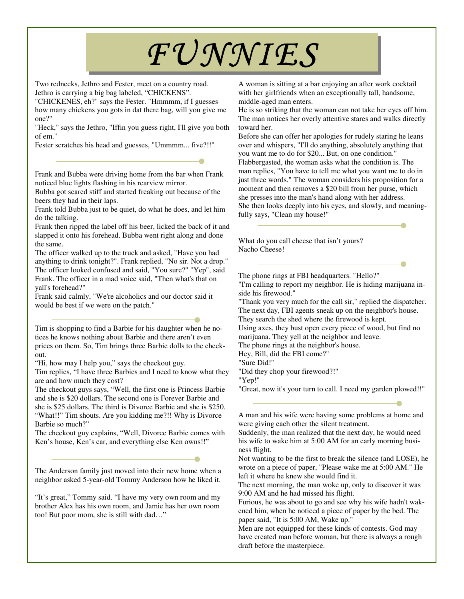# FUNNIES

Two rednecks, Jethro and Fester, meet on a country road. Jethro is carrying a big bag labeled, "CHICKENS".

"CHICKENES, eh?" says the Fester. "Hmmmm, if I guesses how many chickens you gots in dat there bag, will you give me one?"

"Heck," says the Jethro, "Iffin you guess right, I'll give you both of em."

Fester scratches his head and guesses, "Ummmm... five?!!"

Frank and Bubba were driving home from the bar when Frank noticed blue lights flashing in his rearview mirror.

Bubba got scared stiff and started freaking out because of the beers they had in their laps.

Frank told Bubba just to be quiet, do what he does, and let him do the talking.

Frank then ripped the label off his beer, licked the back of it and slapped it onto his forehead. Bubba went right along and done the same.

The officer walked up to the truck and asked, "Have you had anything to drink tonight?". Frank replied, "No sir. Not a drop." The officer looked confused and said, "You sure?" "Yep", said Frank. The officer in a mad voice said, "Then what's that on yall's forehead?"

Frank said calmly, "We're alcoholics and our doctor said it would be best if we were on the patch."

Tim is shopping to find a Barbie for his daughter when he notices he knows nothing about Barbie and there aren't even prices on them. So, Tim brings three Barbie dolls to the checkout.

"Hi, how may I help you," says the checkout guy.

Tim replies, "I have three Barbies and I need to know what they are and how much they cost?

The checkout guys says, "Well, the first one is Princess Barbie and she is \$20 dollars. The second one is Forever Barbie and she is \$25 dollars. The third is Divorce Barbie and she is \$250. "What!!" Tim shouts. Are you kidding me?!! Why is Divorce Barbie so much?"

The checkout guy explains, "Well, Divorce Barbie comes with Ken's house, Ken's car, and everything else Ken owns!!"

The Anderson family just moved into their new home when a neighbor asked 5-year-old Tommy Anderson how he liked it.

"It's great," Tommy said. "I have my very own room and my brother Alex has his own room, and Jamie has her own room too! But poor mom, she is still with dad…"

A woman is sitting at a bar enjoying an after work cocktail with her girlfriends when an exceptionally tall, handsome, middle-aged man enters.

He is so striking that the woman can not take her eyes off him. The man notices her overly attentive stares and walks directly toward her.

Before she can offer her apologies for rudely staring he leans over and whispers, "I'll do anything, absolutely anything that you want me to do for \$20... But, on one condition." Flabbergasted, the woman asks what the condition is. The man replies, "You have to tell me what you want me to do in just three words." The woman considers his proposition for a moment and then removes a \$20 bill from her purse, which she presses into the man's hand along with her address. She then looks deeply into his eyes, and slowly, and meaningfully says, "Clean my house!"

What do you call cheese that isn't yours? Nacho Cheese!

The phone rings at FBI headquarters. "Hello?"

"I'm calling to report my neighbor. He is hiding marijuana inside his firewood."

"Thank you very much for the call sir," replied the dispatcher. The next day, FBI agents sneak up on the neighbor's house.

They search the shed where the firewood is kept.

Using axes, they bust open every piece of wood, but find no marijuana. They yell at the neighbor and leave.

The phone rings at the neighbor's house.

Hey, Bill, did the FBI come?"

"Sure Did!"

"Did they chop your firewood?!"

"Yep!"

"Great, now it's your turn to call. I need my garden plowed!!"

A man and his wife were having some problems at home and were giving each other the silent treatment.

Suddenly, the man realized that the next day, he would need his wife to wake him at 5:00 AM for an early morning business flight.

Not wanting to be the first to break the silence (and LOSE), he wrote on a piece of paper, "Please wake me at 5:00 AM." He left it where he knew she would find it.

The next morning, the man woke up, only to discover it was 9:00 AM and he had missed his flight.

Furious, he was about to go and see why his wife hadn't wakened him, when he noticed a piece of paper by the bed. The paper said, "It is 5:00 AM, Wake up."

Men are not equipped for these kinds of contests. God may have created man before woman, but there is always a rough draft before the masterpiece.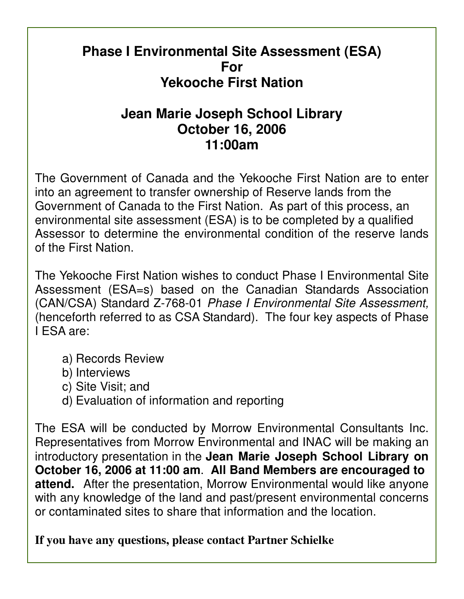## **Phase I Environmental Site Assessment (ESA) For Yekooche First Nation**

# **Jean Marie Joseph School Library October 16, 2006 11:00am**

The Government of Canada and the Yekooche First Nation are to enter into an agreement to transfer ownership of Reserve lands from the Government of Canada to the First Nation. As part of this process, an environmental site assessment (ESA) is to be completed by a qualified Assessor to determine the environmental condition of the reserve lands of the First Nation.

The Yekooche First Nation wishes to conduct Phase I Environmental Site Assessment (ESA=s) based on the Canadian Standards Association (CAN/CSA) Standard Z-768-01 Phase I Environmental Site Assessment, (henceforth referred to as CSA Standard). The four key aspects of Phase I ESA are:

- a) Records Review
- b) Interviews
- c) Site Visit; and
- d) Evaluation of information and reporting

The ESA will be conducted by Morrow Environmental Consultants Inc. Representatives from Morrow Environmental and INAC will be making an introductory presentation in the **Jean Marie Joseph School Library on October 16, 2006 at 11:00 am**. **All Band Members are encouraged to attend.** After the presentation, Morrow Environmental would like anyone with any knowledge of the land and past/present environmental concerns or contaminated sites to share that information and the location.

### **If you have any questions, please contact Partner Schielke**